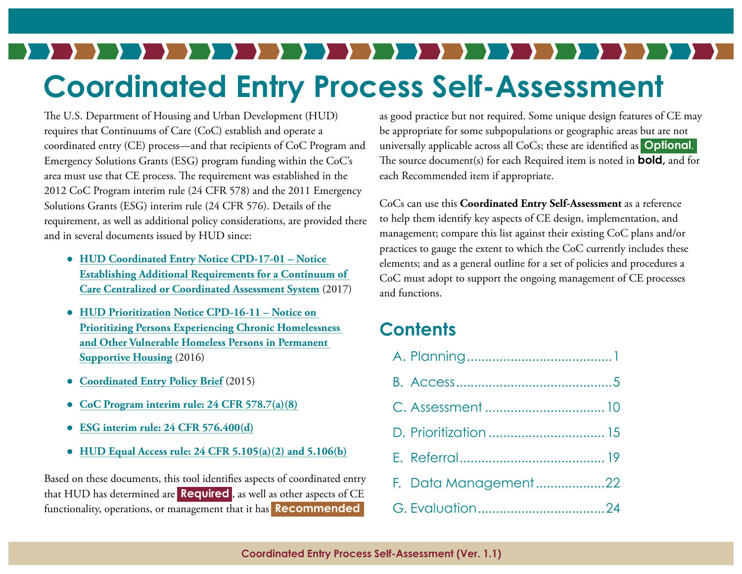# **Coordinated Entry Process Self-Assessment**

The U.S. Department of Housing and Urban Development (HUD) requires that Continuums of Care (CoC) establish and operate a coordinated entry (CE) process—and that recipients of CoC Program and Emergency Solutions Grants (ESG) program funding within the CoC's area must use that CE process. The requirement was established in the 2012 CoC Program interim rule (24 CFR 578) and the 2011 Emergency Solutions Grants (ESG) interim rule (24 CFR 576). Details of the requirement, as well as additional policy considerations, are provided there and in several documents issued by HUD since:

- **[HUD Coordinated Entry Notice CPD-17-01 Notice](https://www.hudexchange.info/resource/5208/notice-establishing-additional-requirements-for-a-continuum-of-care-centralized-or-coordinated-assessment-system/) [Establishing Additional Requirements for a Continuum of](https://www.hudexchange.info/resource/5208/notice-establishing-additional-requirements-for-a-continuum-of-care-centralized-or-coordinated-assessment-system/) [Care Centralized or Coordinated Assessment System](https://www.hudexchange.info/resource/5208/notice-establishing-additional-requirements-for-a-continuum-of-care-centralized-or-coordinated-assessment-system/)** (2017)
- **[HUD Prioritization Notice CPD-16-11 Notice on](https://www.hudexchange.info/resources/documents/notice-cpd-16-11-prioritizing-persons-experiencing-chronic-homelessness-and-other-vulnerable-homeless-persons-in-psh.pdf) [Prioritizing Persons Experiencing Chronic Homelessness](https://www.hudexchange.info/resources/documents/notice-cpd-16-11-prioritizing-persons-experiencing-chronic-homelessness-and-other-vulnerable-homeless-persons-in-psh.pdf) [and Other Vulnerable Homeless Persons in Permanent](https://www.hudexchange.info/resources/documents/notice-cpd-16-11-prioritizing-persons-experiencing-chronic-homelessness-and-other-vulnerable-homeless-persons-in-psh.pdf) [Supportive Housing](https://www.hudexchange.info/resources/documents/notice-cpd-16-11-prioritizing-persons-experiencing-chronic-homelessness-and-other-vulnerable-homeless-persons-in-psh.pdf)** (2016)
- **[Coordinated Entry Policy Brief](https://www.hudexchange.info/resources/documents/Coordinated-Entry-Policy-Brief.pdf)** (2015)
- **[CoC Program interim rule: 24 CFR 578.7\(a\)\(8\)](https://www.hudexchange.info/resources/documents/CoCProgramInterimRule.pdf)**
- **[ESG interim rule: 24 CFR 576.400\(d\)](https://www.hudexchange.info/resources/documents/HEARTH_ESGInterimRule&ConPlanConformingAmendments.pdf)**
- **[HUD Equal Access rule: 24 CFR 5.105\(a\)\(2\) and 5.106\(b\)](https://www.hudexchange.info/resource/1991/equal-access-to-housing-final-rule/)**

Based on these documents, this tool identifies aspects of coordinated entry that HUD has determined are **Required** , as well as other aspects of CE functionality, operations, or management that it has **Recommended** 

as good practice but not required. Some unique design features of CE may be appropriate for some subpopulations or geographic areas but are not universally applicable across all CoCs; these are identified as **Optional**. The source document(s) for each Required item is noted in **bold,** and for each Recommended item if appropriate.

CoCs can use this **Coordinated Entry Self-Assessment** as a reference to help them identify key aspects of CE design, implementation, and management; compare this list against their existing CoC plans and/or practices to gauge the extent to which the CoC currently includes these elements; and as a general outline for a set of policies and procedures a CoC must adopt to support the ongoing management of CE processes and functions.

#### **Contents**

| F. Data Management22 |  |
|----------------------|--|
|                      |  |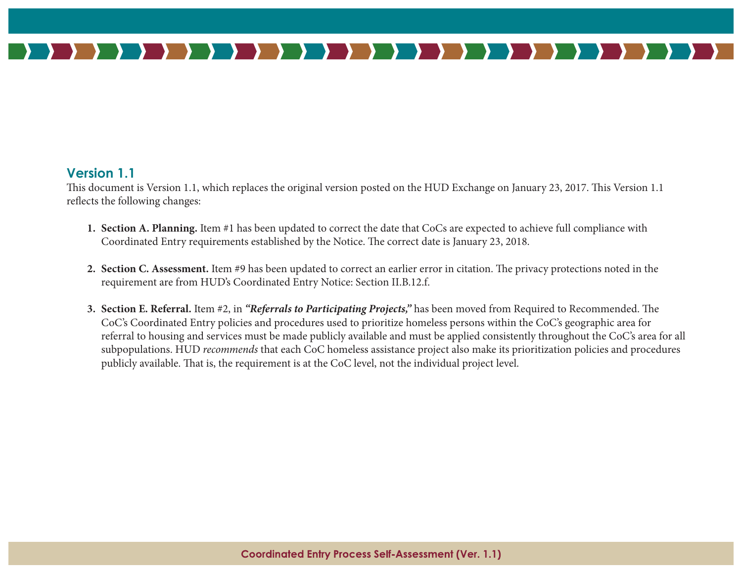

#### **Version 1.1**

This document is Version 1.1, which replaces the original version posted on the HUD Exchange on January 23, 2017. This Version 1.1 reflects the following changes:

- **1. Section A. Planning.** Item #1 has been updated to correct the date that CoCs are expected to achieve full compliance with Coordinated Entry requirements established by the Notice. The correct date is January 23, 2018.
- **2. Section C. Assessment.** Item #9 has been updated to correct an earlier error in citation. The privacy protections noted in the requirement are from HUD's Coordinated Entry Notice: Section II.B.12.f.
- **3. Section E. Referral.** Item #2, in *"Referrals to Participating Projects,"* has been moved from Required to Recommended. The CoC's Coordinated Entry policies and procedures used to prioritize homeless persons within the CoC's geographic area for referral to housing and services must be made publicly available and must be applied consistently throughout the CoC's area for all subpopulations. HUD *recommends* that each CoC homeless assistance project also make its prioritization policies and procedures publicly available. That is, the requirement is at the CoC level, not the individual project level.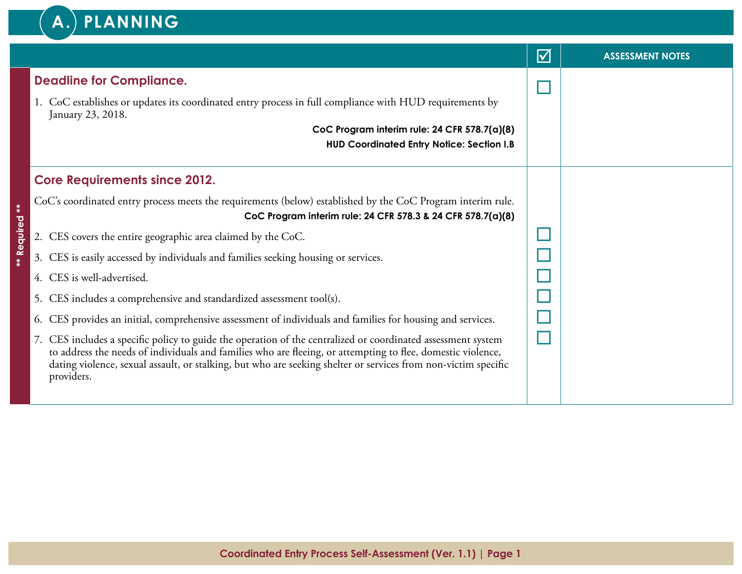

|                                                                                                                                                                                                                                                                                                                                                             | $\blacktriangledown$ | <b>ASSESSMENT NOTES</b> |
|-------------------------------------------------------------------------------------------------------------------------------------------------------------------------------------------------------------------------------------------------------------------------------------------------------------------------------------------------------------|----------------------|-------------------------|
| <b>Deadline for Compliance.</b>                                                                                                                                                                                                                                                                                                                             |                      |                         |
| 1. CoC establishes or updates its coordinated entry process in full compliance with HUD requirements by<br>January 23, 2018.                                                                                                                                                                                                                                |                      |                         |
| CoC Program interim rule: 24 CFR 578.7(a)(8)<br><b>HUD Coordinated Entry Notice: Section I.B</b>                                                                                                                                                                                                                                                            |                      |                         |
| <b>Core Requirements since 2012.</b>                                                                                                                                                                                                                                                                                                                        |                      |                         |
| CoC's coordinated entry process meets the requirements (below) established by the CoC Program interim rule.<br>CoC Program interim rule: 24 CFR 578.3 & 24 CFR 578.7(a)(8)                                                                                                                                                                                  |                      |                         |
| 2. CES covers the entire geographic area claimed by the CoC.                                                                                                                                                                                                                                                                                                |                      |                         |
| 3. CES is easily accessed by individuals and families seeking housing or services.                                                                                                                                                                                                                                                                          |                      |                         |
| 4. CES is well-advertised.                                                                                                                                                                                                                                                                                                                                  |                      |                         |
| 5. CES includes a comprehensive and standardized assessment tool(s).                                                                                                                                                                                                                                                                                        |                      |                         |
| CES provides an initial, comprehensive assessment of individuals and families for housing and services.<br>6.                                                                                                                                                                                                                                               |                      |                         |
| 7. CES includes a specific policy to guide the operation of the centralized or coordinated assessment system<br>to address the needs of individuals and families who are fleeing, or attempting to flee, domestic violence,<br>dating violence, sexual assault, or stalking, but who are seeking shelter or services from non-victim specific<br>providers. |                      |                         |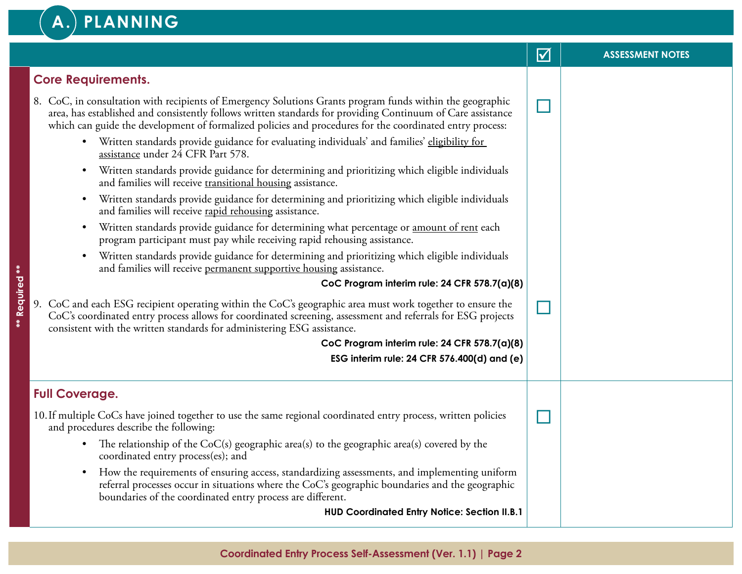#### **A. PLANNING**

|                                                                                                                                                                                                                                                                                                                                                                                                                                                                                                                                                                                                                                                                                                                                                                                                                                                                                                                                                                                                                                                                                                                                                                                                             | $\blacktriangledown$ | <b>ASSESSMENT NOTES</b> |
|-------------------------------------------------------------------------------------------------------------------------------------------------------------------------------------------------------------------------------------------------------------------------------------------------------------------------------------------------------------------------------------------------------------------------------------------------------------------------------------------------------------------------------------------------------------------------------------------------------------------------------------------------------------------------------------------------------------------------------------------------------------------------------------------------------------------------------------------------------------------------------------------------------------------------------------------------------------------------------------------------------------------------------------------------------------------------------------------------------------------------------------------------------------------------------------------------------------|----------------------|-------------------------|
| <b>Core Requirements.</b>                                                                                                                                                                                                                                                                                                                                                                                                                                                                                                                                                                                                                                                                                                                                                                                                                                                                                                                                                                                                                                                                                                                                                                                   |                      |                         |
| 8. CoC, in consultation with recipients of Emergency Solutions Grants program funds within the geographic<br>area, has established and consistently follows written standards for providing Continuum of Care assistance<br>which can guide the development of formalized policies and procedures for the coordinated entry process:<br>• Written standards provide guidance for evaluating individuals' and families' eligibility for<br>assistance under 24 CFR Part 578.<br>Written standards provide guidance for determining and prioritizing which eligible individuals<br>$\bullet$<br>and families will receive transitional housing assistance.<br>Written standards provide guidance for determining and prioritizing which eligible individuals<br>$\bullet$<br>and families will receive rapid rehousing assistance.<br>Written standards provide guidance for determining what percentage or amount of rent each<br>$\bullet$<br>program participant must pay while receiving rapid rehousing assistance.<br>Written standards provide guidance for determining and prioritizing which eligible individuals<br>$\bullet$<br>and families will receive permanent supportive housing assistance. |                      |                         |
| CoC Program interim rule: 24 CFR 578.7(a)(8)<br>9. CoC and each ESG recipient operating within the CoC's geographic area must work together to ensure the<br>CoC's coordinated entry process allows for coordinated screening, assessment and referrals for ESG projects<br>consistent with the written standards for administering ESG assistance.<br>CoC Program interim rule: 24 CFR 578.7(a)(8)<br>ESG interim rule: 24 CFR 576.400(d) and (e)                                                                                                                                                                                                                                                                                                                                                                                                                                                                                                                                                                                                                                                                                                                                                          |                      |                         |
| <b>Full Coverage.</b>                                                                                                                                                                                                                                                                                                                                                                                                                                                                                                                                                                                                                                                                                                                                                                                                                                                                                                                                                                                                                                                                                                                                                                                       |                      |                         |
| 10. If multiple CoCs have joined together to use the same regional coordinated entry process, written policies<br>and procedures describe the following:<br>The relationship of the $CoC(s)$ geographic area(s) to the geographic area(s) covered by the<br>$\bullet$<br>coordinated entry process(es); and<br>How the requirements of ensuring access, standardizing assessments, and implementing uniform<br>$\bullet$<br>referral processes occur in situations where the CoC's geographic boundaries and the geographic<br>boundaries of the coordinated entry process are different.                                                                                                                                                                                                                                                                                                                                                                                                                                                                                                                                                                                                                   |                      |                         |

**HUD Coordinated Entry Notice: Section II.B.1**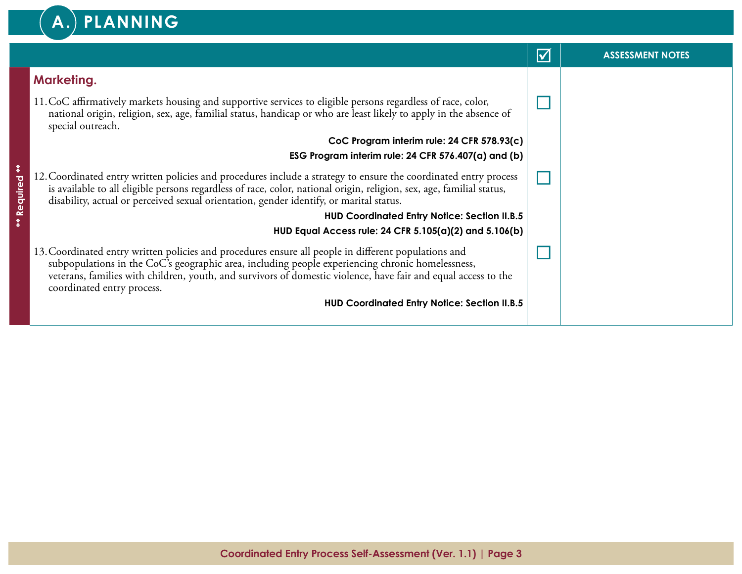## **A. PLANNING**

|             |                                                                                                                                                                                                                                                                                                                                                          | $\blacktriangledown$ | <b>ASSESSMENT NOTES</b> |
|-------------|----------------------------------------------------------------------------------------------------------------------------------------------------------------------------------------------------------------------------------------------------------------------------------------------------------------------------------------------------------|----------------------|-------------------------|
|             | <b>Marketing.</b>                                                                                                                                                                                                                                                                                                                                        |                      |                         |
|             | 11. CoC affirmatively markets housing and supportive services to eligible persons regardless of race, color,<br>national origin, religion, sex, age, familial status, handicap or who are least likely to apply in the absence of<br>special outreach.                                                                                                   |                      |                         |
|             | CoC Program interim rule: 24 CFR 578.93(c)                                                                                                                                                                                                                                                                                                               |                      |                         |
|             | ESG Program interim rule: 24 CFR $576.407(a)$ and (b)                                                                                                                                                                                                                                                                                                    |                      |                         |
| Required ** | 12. Coordinated entry written policies and procedures include a strategy to ensure the coordinated entry process<br>is available to all eligible persons regardless of race, color, national origin, religion, sex, age, familial status,<br>disability, actual or perceived sexual orientation, gender identify, or marital status.                     |                      |                         |
| **          | <b>HUD Coordinated Entry Notice: Section II.B.5</b>                                                                                                                                                                                                                                                                                                      |                      |                         |
|             | HUD Equal Access rule: 24 CFR 5.105(a)(2) and 5.106(b)                                                                                                                                                                                                                                                                                                   |                      |                         |
|             | 13. Coordinated entry written policies and procedures ensure all people in different populations and<br>subpopulations in the CoC's geographic area, including people experiencing chronic homelessness,<br>veterans, families with children, youth, and survivors of domestic violence, have fair and equal access to the<br>coordinated entry process. |                      |                         |
|             | <b>HUD Coordinated Entry Notice: Section II.B.5</b>                                                                                                                                                                                                                                                                                                      |                      |                         |
|             |                                                                                                                                                                                                                                                                                                                                                          |                      |                         |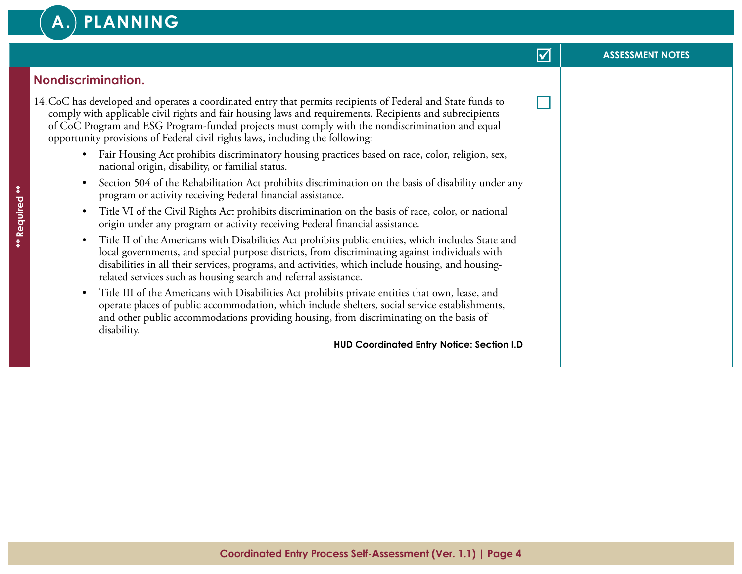## **A. PLANNING**

|                                                                                                                                                                                                                                                                                                                                                                                                              | $\triangledown$ | <b>ASSESSMENT NOTES</b> |
|--------------------------------------------------------------------------------------------------------------------------------------------------------------------------------------------------------------------------------------------------------------------------------------------------------------------------------------------------------------------------------------------------------------|-----------------|-------------------------|
| <b>Nondiscrimination.</b>                                                                                                                                                                                                                                                                                                                                                                                    |                 |                         |
| 14. CoC has developed and operates a coordinated entry that permits recipients of Federal and State funds to<br>comply with applicable civil rights and fair housing laws and requirements. Recipients and subrecipients<br>of CoC Program and ESG Program-funded projects must comply with the nondiscrimination and equal<br>opportunity provisions of Federal civil rights laws, including the following: |                 |                         |
| Fair Housing Act prohibits discriminatory housing practices based on race, color, religion, sex,<br>$\bullet$<br>national origin, disability, or familial status.                                                                                                                                                                                                                                            |                 |                         |
| Section 504 of the Rehabilitation Act prohibits discrimination on the basis of disability under any<br>program or activity receiving Federal financial assistance.                                                                                                                                                                                                                                           |                 |                         |
| Title VI of the Civil Rights Act prohibits discrimination on the basis of race, color, or national<br>$\bullet$<br>origin under any program or activity receiving Federal financial assistance.                                                                                                                                                                                                              |                 |                         |
| Title II of the Americans with Disabilities Act prohibits public entities, which includes State and<br>$\bullet$<br>local governments, and special purpose districts, from discriminating against individuals with<br>disabilities in all their services, programs, and activities, which include housing, and housing-<br>related services such as housing search and referral assistance.                  |                 |                         |
| Title III of the Americans with Disabilities Act prohibits private entities that own, lease, and<br>$\bullet$<br>operate places of public accommodation, which include shelters, social service establishments,<br>and other public accommodations providing housing, from discriminating on the basis of<br>disability.                                                                                     |                 |                         |
| <b>HUD Coordinated Entry Notice: Section I.D</b>                                                                                                                                                                                                                                                                                                                                                             |                 |                         |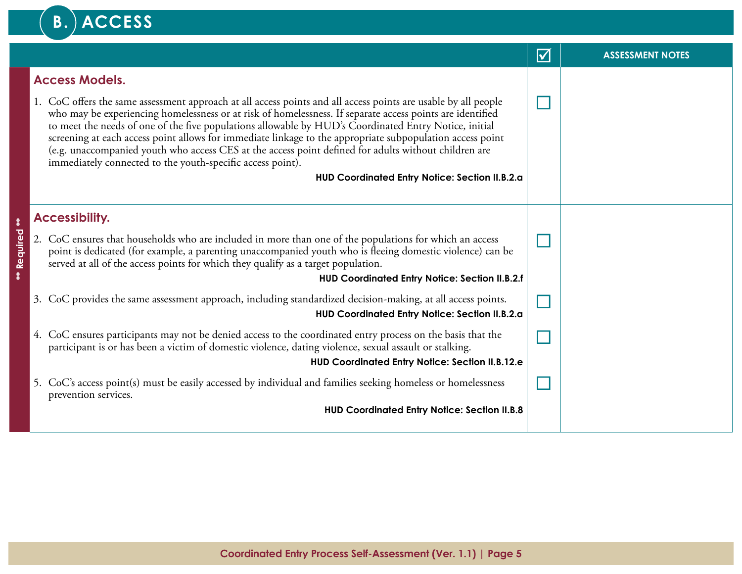#### **B.** ACCESS þ **ASSESSMENT NOTES Access Models.**  1. CoC offers the same assessment approach at all access points and all access points are usable by all people ¨ who may be experiencing homelessness or at risk of homelessness. If separate access points are identified to meet the needs of one of the five populations allowable by HUD's Coordinated Entry Notice, initial screening at each access point allows for immediate linkage to the appropriate subpopulation access point (e.g. unaccompanied youth who access CES at the access point defined for adults without children are immediately connected to the youth-specific access point). **HUD Coordinated Entry Notice: Section II.B.2.a Accessibility. \*\* Required \*\*** Required 2. CoC ensures that households who are included in more than one of the populations for which an access ¨ point is dedicated (for example, a parenting unaccompanied youth who is fleeing domestic violence) can be served at all of the access points for which they qualify as a target population. **HUD Coordinated Entry Notice: Section II.B.2.f** ¨ 3. CoC provides the same assessment approach, including standardized decision-making, at all access points. **HUD Coordinated Entry Notice: Section II.B.2.a** 4. CoC ensures participants may not be denied access to the coordinated entry process on the basis that the  $\Box$ participant is or has been a victim of domestic violence, dating violence, sexual assault or stalking. **HUD Coordinated Entry Notice: Section II.B.12.e** 5. CoC's access point(s) must be easily accessed by individual and families seeking homeless or homelessness ¨ prevention services. **HUD Coordinated Entry Notice: Section II.B.8**

 $\ddot{\ast}$ 

ł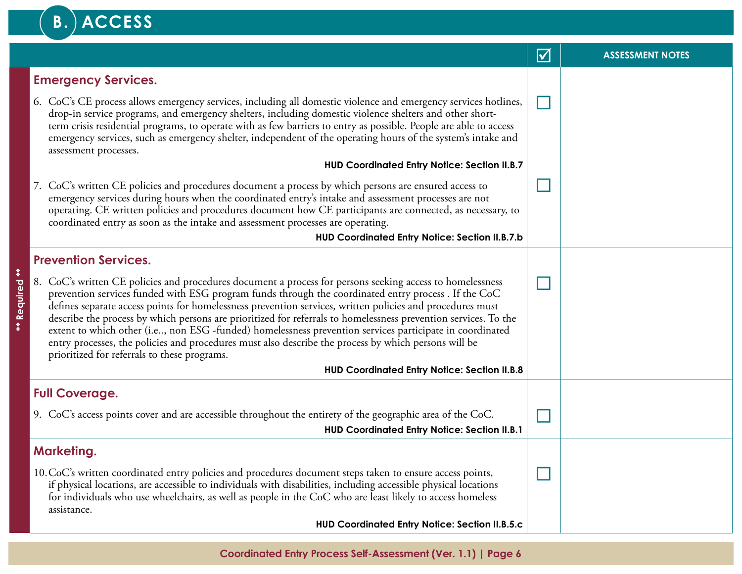## B. ACCESS

**\*\* Required \*\***

\*\* Required \*\*

|                                                                                                                                                                                                                                                                                                                                                                                                                                                                                                                                                                                                                                                                                                                      | $\blacktriangledown$ | <b>ASSESSMENT NOTES</b> |
|----------------------------------------------------------------------------------------------------------------------------------------------------------------------------------------------------------------------------------------------------------------------------------------------------------------------------------------------------------------------------------------------------------------------------------------------------------------------------------------------------------------------------------------------------------------------------------------------------------------------------------------------------------------------------------------------------------------------|----------------------|-------------------------|
| <b>Emergency Services.</b>                                                                                                                                                                                                                                                                                                                                                                                                                                                                                                                                                                                                                                                                                           |                      |                         |
| 6. CoC's CE process allows emergency services, including all domestic violence and emergency services hotlines,<br>drop-in service programs, and emergency shelters, including domestic violence shelters and other short-<br>term crisis residential programs, to operate with as few barriers to entry as possible. People are able to access<br>emergency services, such as emergency shelter, independent of the operating hours of the system's intake and<br>assessment processes.                                                                                                                                                                                                                             |                      |                         |
| <b>HUD Coordinated Entry Notice: Section II.B.7</b>                                                                                                                                                                                                                                                                                                                                                                                                                                                                                                                                                                                                                                                                  |                      |                         |
| 7. CoC's written CE policies and procedures document a process by which persons are ensured access to<br>emergency services during hours when the coordinated entry's intake and assessment processes are not<br>operating. CE written policies and procedures document how CE participants are connected, as necessary, to<br>coordinated entry as soon as the intake and assessment processes are operating.                                                                                                                                                                                                                                                                                                       |                      |                         |
| HUD Coordinated Entry Notice: Section II.B.7.b                                                                                                                                                                                                                                                                                                                                                                                                                                                                                                                                                                                                                                                                       |                      |                         |
| <b>Prevention Services.</b>                                                                                                                                                                                                                                                                                                                                                                                                                                                                                                                                                                                                                                                                                          |                      |                         |
| 8. CoC's written CE policies and procedures document a process for persons seeking access to homelessness<br>prevention services funded with ESG program funds through the coordinated entry process. If the CoC<br>defines separate access points for homelessness prevention services, written policies and procedures must<br>describe the process by which persons are prioritized for referrals to homelessness prevention services. To the<br>extent to which other (i.e, non ESG -funded) homelessness prevention services participate in coordinated<br>entry processes, the policies and procedures must also describe the process by which persons will be<br>prioritized for referrals to these programs. |                      |                         |
| <b>HUD Coordinated Entry Notice: Section II.B.8</b>                                                                                                                                                                                                                                                                                                                                                                                                                                                                                                                                                                                                                                                                  |                      |                         |
| <b>Full Coverage.</b>                                                                                                                                                                                                                                                                                                                                                                                                                                                                                                                                                                                                                                                                                                |                      |                         |
| 9. CoC's access points cover and are accessible throughout the entirety of the geographic area of the CoC.<br><b>HUD Coordinated Entry Notice: Section II.B.1</b>                                                                                                                                                                                                                                                                                                                                                                                                                                                                                                                                                    |                      |                         |
| <b>Marketing.</b>                                                                                                                                                                                                                                                                                                                                                                                                                                                                                                                                                                                                                                                                                                    |                      |                         |
| 10. CoC's written coordinated entry policies and procedures document steps taken to ensure access points,<br>if physical locations, are accessible to individuals with disabilities, including accessible physical locations<br>for individuals who use wheelchairs, as well as people in the CoC who are least likely to access homeless<br>assistance.                                                                                                                                                                                                                                                                                                                                                             |                      |                         |
| HUD Coordinated Entry Notice: Section II.B.5.c                                                                                                                                                                                                                                                                                                                                                                                                                                                                                                                                                                                                                                                                       |                      |                         |

**Coordinated Entry Process Self-Assessment (Ver. 1.1) | Page 6**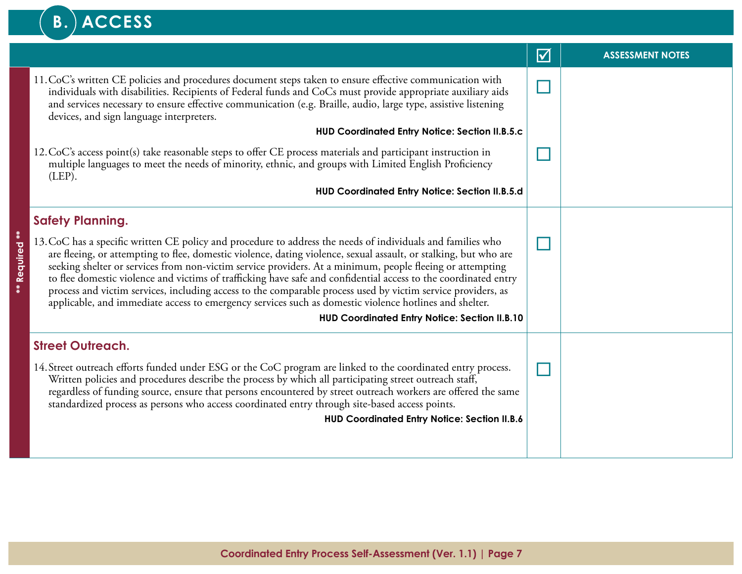## **B.** ACCESS

|                          |                                                                                                                                                                                                                                                                                                                                                                                                                                                                                                                                                                                                                                                                                           | $\blacktriangledown$ | <b>ASSESSMENT NOTES</b> |
|--------------------------|-------------------------------------------------------------------------------------------------------------------------------------------------------------------------------------------------------------------------------------------------------------------------------------------------------------------------------------------------------------------------------------------------------------------------------------------------------------------------------------------------------------------------------------------------------------------------------------------------------------------------------------------------------------------------------------------|----------------------|-------------------------|
|                          | 11. CoC's written CE policies and procedures document steps taken to ensure effective communication with<br>individuals with disabilities. Recipients of Federal funds and CoCs must provide appropriate auxiliary aids<br>and services necessary to ensure effective communication (e.g. Braille, audio, large type, assistive listening<br>devices, and sign language interpreters.                                                                                                                                                                                                                                                                                                     |                      |                         |
|                          | <b>HUD Coordinated Entry Notice: Section II.B.5.c</b>                                                                                                                                                                                                                                                                                                                                                                                                                                                                                                                                                                                                                                     |                      |                         |
|                          | 12. CoC's access point(s) take reasonable steps to offer CE process materials and participant instruction in<br>multiple languages to meet the needs of minority, ethnic, and groups with Limited English Proficiency<br>(LEP).                                                                                                                                                                                                                                                                                                                                                                                                                                                           |                      |                         |
|                          | HUD Coordinated Entry Notice: Section II.B.5.d                                                                                                                                                                                                                                                                                                                                                                                                                                                                                                                                                                                                                                            |                      |                         |
|                          | <b>Safety Planning.</b>                                                                                                                                                                                                                                                                                                                                                                                                                                                                                                                                                                                                                                                                   |                      |                         |
| <b>Required **</b><br>X. | 13. CoC has a specific written CE policy and procedure to address the needs of individuals and families who<br>are fleeing, or attempting to flee, domestic violence, dating violence, sexual assault, or stalking, but who are<br>seeking shelter or services from non-victim service providers. At a minimum, people fleeing or attempting<br>to flee domestic violence and victims of trafficking have safe and confidential access to the coordinated entry<br>process and victim services, including access to the comparable process used by victim service providers, as<br>applicable, and immediate access to emergency services such as domestic violence hotlines and shelter. |                      |                         |
|                          | <b>HUD Coordinated Entry Notice: Section II.B.10</b>                                                                                                                                                                                                                                                                                                                                                                                                                                                                                                                                                                                                                                      |                      |                         |
|                          | <b>Street Outreach.</b>                                                                                                                                                                                                                                                                                                                                                                                                                                                                                                                                                                                                                                                                   |                      |                         |
|                          | 14. Street outreach efforts funded under ESG or the CoC program are linked to the coordinated entry process.<br>Written policies and procedures describe the process by which all participating street outreach staff,<br>regardless of funding source, ensure that persons encountered by street outreach workers are offered the same<br>standardized process as persons who access coordinated entry through site-based access points.                                                                                                                                                                                                                                                 |                      |                         |
|                          | <b>HUD Coordinated Entry Notice: Section II.B.6</b>                                                                                                                                                                                                                                                                                                                                                                                                                                                                                                                                                                                                                                       |                      |                         |
|                          |                                                                                                                                                                                                                                                                                                                                                                                                                                                                                                                                                                                                                                                                                           |                      |                         |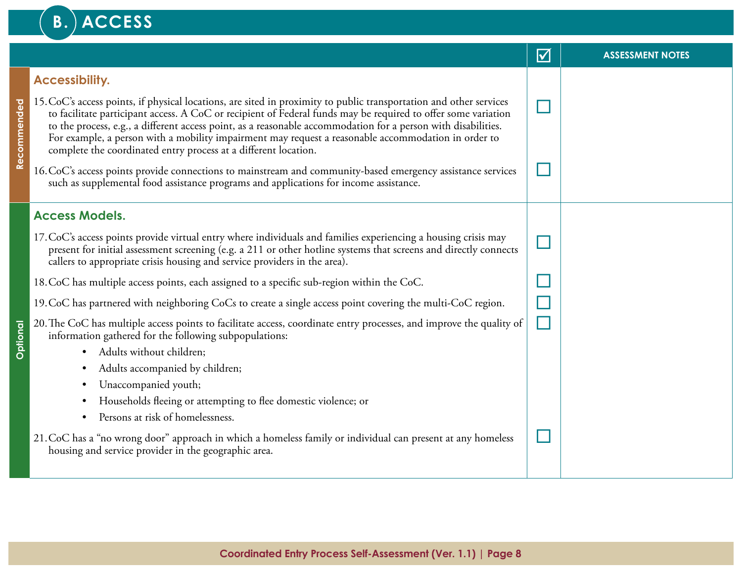## B.) ACCESS

|                 |                                                                                                                                                                                                                                                                                                                                                                                                                                                                                                                                | $\blacktriangledown$ | <b>ASSESSMENT NOTES</b> |
|-----------------|--------------------------------------------------------------------------------------------------------------------------------------------------------------------------------------------------------------------------------------------------------------------------------------------------------------------------------------------------------------------------------------------------------------------------------------------------------------------------------------------------------------------------------|----------------------|-------------------------|
|                 | <b>Accessibility.</b>                                                                                                                                                                                                                                                                                                                                                                                                                                                                                                          |                      |                         |
| Recommended     | 15. CoC's access points, if physical locations, are sited in proximity to public transportation and other services<br>to facilitate participant access. A CoC or recipient of Federal funds may be required to offer some variation<br>to the process, e.g., a different access point, as a reasonable accommodation for a person with disabilities.<br>For example, a person with a mobility impairment may request a reasonable accommodation in order to<br>complete the coordinated entry process at a different location. |                      |                         |
|                 | 16. CoC's access points provide connections to mainstream and community-based emergency assistance services<br>such as supplemental food assistance programs and applications for income assistance.                                                                                                                                                                                                                                                                                                                           |                      |                         |
|                 | <b>Access Models.</b>                                                                                                                                                                                                                                                                                                                                                                                                                                                                                                          |                      |                         |
|                 | 17. CoC's access points provide virtual entry where individuals and families experiencing a housing crisis may<br>present for initial assessment screening (e.g. a 211 or other hotline systems that screens and directly connects<br>callers to appropriate crisis housing and service providers in the area).                                                                                                                                                                                                                |                      |                         |
|                 | 18. CoC has multiple access points, each assigned to a specific sub-region within the CoC.                                                                                                                                                                                                                                                                                                                                                                                                                                     |                      |                         |
|                 | 19. CoC has partnered with neighboring CoCs to create a single access point covering the multi-CoC region.                                                                                                                                                                                                                                                                                                                                                                                                                     |                      |                         |
| <b>Optional</b> | 20. The CoC has multiple access points to facilitate access, coordinate entry processes, and improve the quality of<br>information gathered for the following subpopulations:                                                                                                                                                                                                                                                                                                                                                  |                      |                         |
|                 | Adults without children;<br>$\bullet$                                                                                                                                                                                                                                                                                                                                                                                                                                                                                          |                      |                         |
|                 | Adults accompanied by children;<br>Unaccompanied youth;<br>٠                                                                                                                                                                                                                                                                                                                                                                                                                                                                   |                      |                         |
|                 | Households fleeing or attempting to flee domestic violence; or                                                                                                                                                                                                                                                                                                                                                                                                                                                                 |                      |                         |
|                 | Persons at risk of homelessness.<br>$\bullet$                                                                                                                                                                                                                                                                                                                                                                                                                                                                                  |                      |                         |
|                 | 21. CoC has a "no wrong door" approach in which a homeless family or individual can present at any homeless<br>housing and service provider in the geographic area.                                                                                                                                                                                                                                                                                                                                                            |                      |                         |
|                 |                                                                                                                                                                                                                                                                                                                                                                                                                                                                                                                                |                      |                         |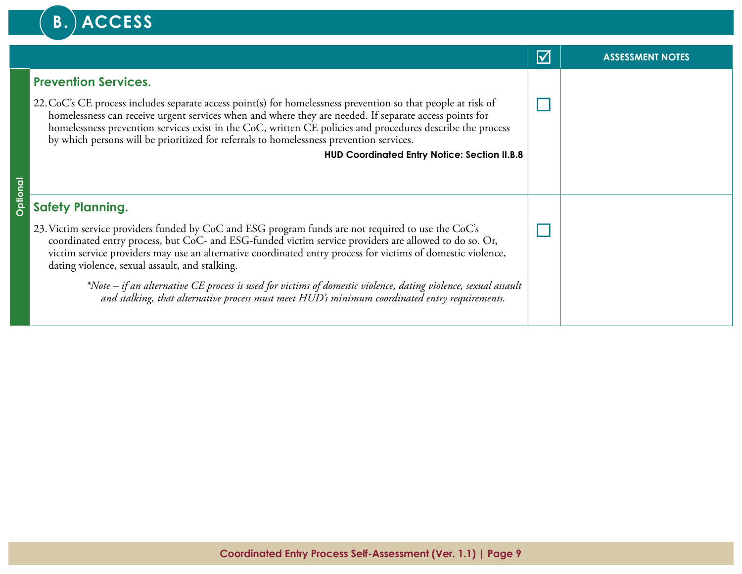## B.) ACCESS

|                 |                                                                                                                                                                                                                                                                                                                                                                                                                                 | $\blacktriangledown$ | <b>ASSESSMENT NOTES</b> |
|-----------------|---------------------------------------------------------------------------------------------------------------------------------------------------------------------------------------------------------------------------------------------------------------------------------------------------------------------------------------------------------------------------------------------------------------------------------|----------------------|-------------------------|
|                 | <b>Prevention Services.</b>                                                                                                                                                                                                                                                                                                                                                                                                     |                      |                         |
|                 | 22. CoC's CE process includes separate access point(s) for homelessness prevention so that people at risk of<br>homelessness can receive urgent services when and where they are needed. If separate access points for<br>homelessness prevention services exist in the CoC, written CE policies and procedures describe the process<br>by which persons will be prioritized for referrals to homelessness prevention services. |                      |                         |
|                 | <b>HUD Coordinated Entry Notice: Section II.B.8</b>                                                                                                                                                                                                                                                                                                                                                                             |                      |                         |
|                 |                                                                                                                                                                                                                                                                                                                                                                                                                                 |                      |                         |
| <b>Optional</b> | <b>Safety Planning.</b>                                                                                                                                                                                                                                                                                                                                                                                                         |                      |                         |
|                 | 23. Victim service providers funded by CoC and ESG program funds are not required to use the CoC's<br>coordinated entry process, but CoC- and ESG-funded victim service providers are allowed to do so. Or,<br>victim service providers may use an alternative coordinated entry process for victims of domestic violence,<br>dating violence, sexual assault, and stalking.                                                    |                      |                         |
|                 | *Note – if an alternative CE process is used for victims of domestic violence, dating violence, sexual assault<br>and stalking, that alternative process must meet HUD's minimum coordinated entry requirements.                                                                                                                                                                                                                |                      |                         |
|                 |                                                                                                                                                                                                                                                                                                                                                                                                                                 |                      |                         |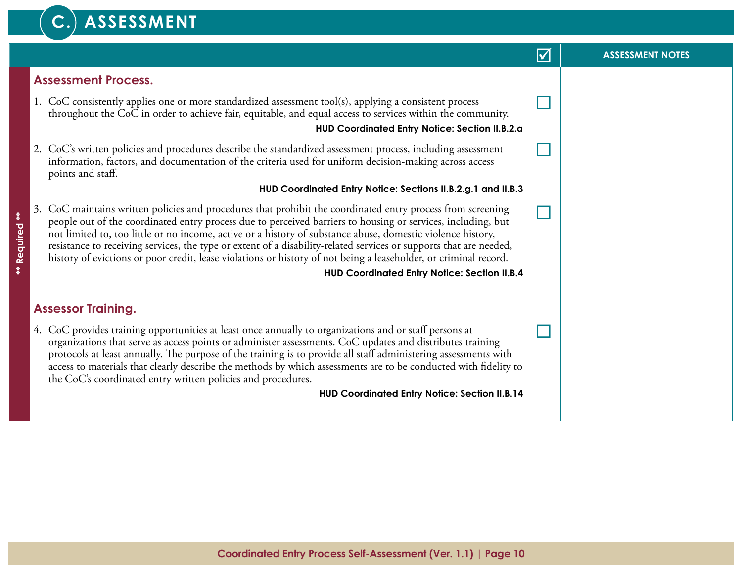#### C.) ASSESSMENT

|                           |    |                                                                                                                                                                                                                                                                                                                                                                                                                                                                                                                                                                                                                                          | $\blacktriangledown$ | <b>ASSESSMENT NOTES</b> |
|---------------------------|----|------------------------------------------------------------------------------------------------------------------------------------------------------------------------------------------------------------------------------------------------------------------------------------------------------------------------------------------------------------------------------------------------------------------------------------------------------------------------------------------------------------------------------------------------------------------------------------------------------------------------------------------|----------------------|-------------------------|
|                           |    | <b>Assessment Process.</b>                                                                                                                                                                                                                                                                                                                                                                                                                                                                                                                                                                                                               |                      |                         |
|                           |    | 1. CoC consistently applies one or more standardized assessment tool(s), applying a consistent process<br>throughout the CoC in order to achieve fair, equitable, and equal access to services within the community.                                                                                                                                                                                                                                                                                                                                                                                                                     |                      |                         |
|                           |    | HUD Coordinated Entry Notice: Section II.B.2.a                                                                                                                                                                                                                                                                                                                                                                                                                                                                                                                                                                                           |                      |                         |
|                           |    | 2. CoC's written policies and procedures describe the standardized assessment process, including assessment<br>information, factors, and documentation of the criteria used for uniform decision-making across access<br>points and staff.                                                                                                                                                                                                                                                                                                                                                                                               |                      |                         |
|                           |    | HUD Coordinated Entry Notice: Sections II.B.2.g.1 and II.B.3                                                                                                                                                                                                                                                                                                                                                                                                                                                                                                                                                                             |                      |                         |
| $\ddot{*}$<br>** Required | 3. | CoC maintains written policies and procedures that prohibit the coordinated entry process from screening<br>people out of the coordinated entry process due to perceived barriers to housing or services, including, but<br>not limited to, too little or no income, active or a history of substance abuse, domestic violence history,<br>resistance to receiving services, the type or extent of a disability-related services or supports that are needed,<br>history of evictions or poor credit, lease violations or history of not being a leaseholder, or criminal record.<br><b>HUD Coordinated Entry Notice: Section II.B.4</b> |                      |                         |
|                           |    | <b>Assessor Training.</b>                                                                                                                                                                                                                                                                                                                                                                                                                                                                                                                                                                                                                |                      |                         |
|                           |    | 4. CoC provides training opportunities at least once annually to organizations and or staff persons at<br>organizations that serve as access points or administer assessments. CoC updates and distributes training<br>protocols at least annually. The purpose of the training is to provide all staff administering assessments with<br>access to materials that clearly describe the methods by which assessments are to be conducted with fidelity to<br>the CoC's coordinated entry written policies and procedures.                                                                                                                |                      |                         |
|                           |    | <b>HUD Coordinated Entry Notice: Section II.B.14</b>                                                                                                                                                                                                                                                                                                                                                                                                                                                                                                                                                                                     |                      |                         |
|                           |    |                                                                                                                                                                                                                                                                                                                                                                                                                                                                                                                                                                                                                                          |                      |                         |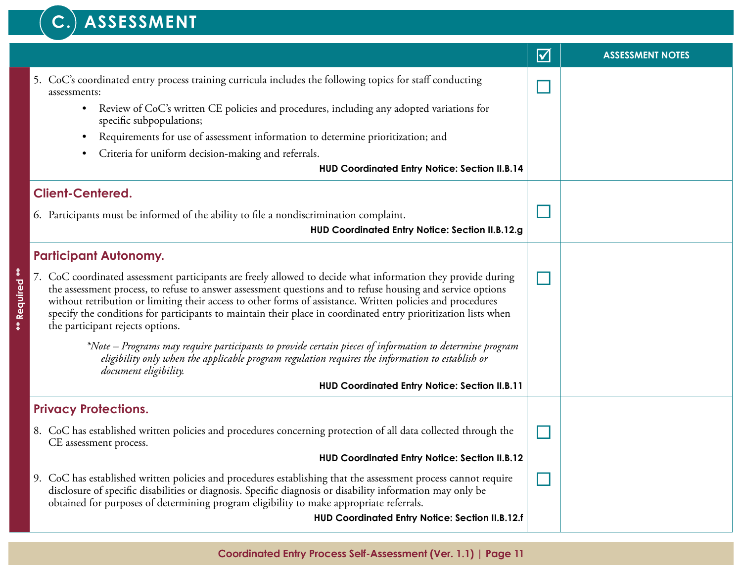#### C.) ASSESSMENT

|                                                                                                                                                                                                                                                                                                                                                                                                                                                                                                | $\blacktriangledown$ | <b>ASSESSMENT NOTES</b> |
|------------------------------------------------------------------------------------------------------------------------------------------------------------------------------------------------------------------------------------------------------------------------------------------------------------------------------------------------------------------------------------------------------------------------------------------------------------------------------------------------|----------------------|-------------------------|
| 5. CoC's coordinated entry process training curricula includes the following topics for staff conducting<br>assessments:                                                                                                                                                                                                                                                                                                                                                                       |                      |                         |
| Review of CoC's written CE policies and procedures, including any adopted variations for<br>$\bullet$<br>specific subpopulations;                                                                                                                                                                                                                                                                                                                                                              |                      |                         |
| Requirements for use of assessment information to determine prioritization; and                                                                                                                                                                                                                                                                                                                                                                                                                |                      |                         |
| Criteria for uniform decision-making and referrals.                                                                                                                                                                                                                                                                                                                                                                                                                                            |                      |                         |
| <b>HUD Coordinated Entry Notice: Section II.B.14</b>                                                                                                                                                                                                                                                                                                                                                                                                                                           |                      |                         |
| <b>Client-Centered.</b>                                                                                                                                                                                                                                                                                                                                                                                                                                                                        |                      |                         |
| 6. Participants must be informed of the ability to file a nondiscrimination complaint.                                                                                                                                                                                                                                                                                                                                                                                                         |                      |                         |
| HUD Coordinated Entry Notice: Section II.B.12.g                                                                                                                                                                                                                                                                                                                                                                                                                                                |                      |                         |
| <b>Participant Autonomy.</b>                                                                                                                                                                                                                                                                                                                                                                                                                                                                   |                      |                         |
| 7. CoC coordinated assessment participants are freely allowed to decide what information they provide during<br>the assessment process, to refuse to answer assessment questions and to refuse housing and service options<br>without retribution or limiting their access to other forms of assistance. Written policies and procedures<br>specify the conditions for participants to maintain their place in coordinated entry prioritization lists when<br>the participant rejects options. |                      |                         |
| *Note – Programs may require participants to provide certain pieces of information to determine program<br>eligibility only when the applicable program regulation requires the information to establish or<br>document eligibility.                                                                                                                                                                                                                                                           |                      |                         |
| <b>HUD Coordinated Entry Notice: Section II.B.11</b>                                                                                                                                                                                                                                                                                                                                                                                                                                           |                      |                         |
| <b>Privacy Protections.</b>                                                                                                                                                                                                                                                                                                                                                                                                                                                                    |                      |                         |
| 8. CoC has established written policies and procedures concerning protection of all data collected through the<br>CE assessment process.                                                                                                                                                                                                                                                                                                                                                       |                      |                         |
| <b>HUD Coordinated Entry Notice: Section II.B.12</b>                                                                                                                                                                                                                                                                                                                                                                                                                                           |                      |                         |
| 9. CoC has established written policies and procedures establishing that the assessment process cannot require<br>disclosure of specific disabilities or diagnosis. Specific diagnosis or disability information may only be<br>obtained for purposes of determining program eligibility to make appropriate referrals.<br>HUD Coordinated Entry Notice: Section II.B.12.f                                                                                                                     |                      |                         |
|                                                                                                                                                                                                                                                                                                                                                                                                                                                                                                |                      |                         |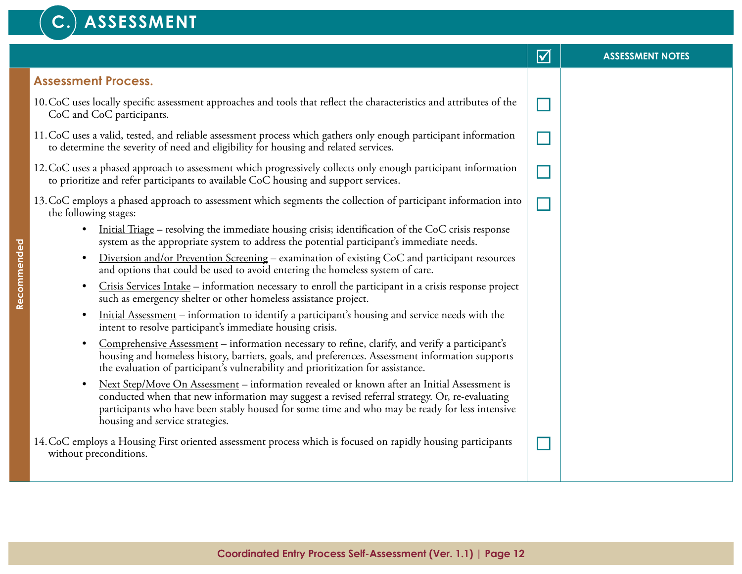#### **C. ASSESSMENT** þ **ASSESSMENT NOTES Assessment Process.** 10.CoC uses locally specific assessment approaches and tools that reflect the characteristics and attributes of the CoC and CoC participants. 11.CoC uses a valid, tested, and reliable assessment process which gathers only enough participant information to determine the severity of need and eligibility for housing and related services. 12.CoC uses a phased approach to assessment which progressively collects only enough participant information to prioritize and refer participants to available CoC housing and support services. 13.CoC employs a phased approach to assessment which segments the collection of participant information into the following stages: • Initial Triage – resolving the immediate housing crisis; identification of the CoC crisis response system as the appropriate system to address the potential participant's immediate needs. • Diversion and/or Prevention Screening – examination of existing CoC and participant resources and options that could be used to avoid entering the homeless system of care. • Crisis Services Intake – information necessary to enroll the participant in a crisis response project such as emergency shelter or other homeless assistance project. • Initial Assessment – information to identify a participant's housing and service needs with the intent to resolve participant's immediate housing crisis. • Comprehensive Assessment – information necessary to refine, clarify, and verify a participant's housing and homeless history, barriers, goals, and preferences. Assessment information supports the evaluation of participant's vulnerability and prioritization for assistance. ¨ ¨  $\Box$  $\Box$

• Next Step/Move On Assessment – information revealed or known after an Initial Assessment is conducted when that new information may suggest a revised referral strategy. Or, re-evaluating participants who have been stably housed for some time and who may be ready for less intensive housing and service strategies.

14.CoC employs a Housing First oriented assessment process which is focused on rapidly housing participants without preconditions.

 $\Box$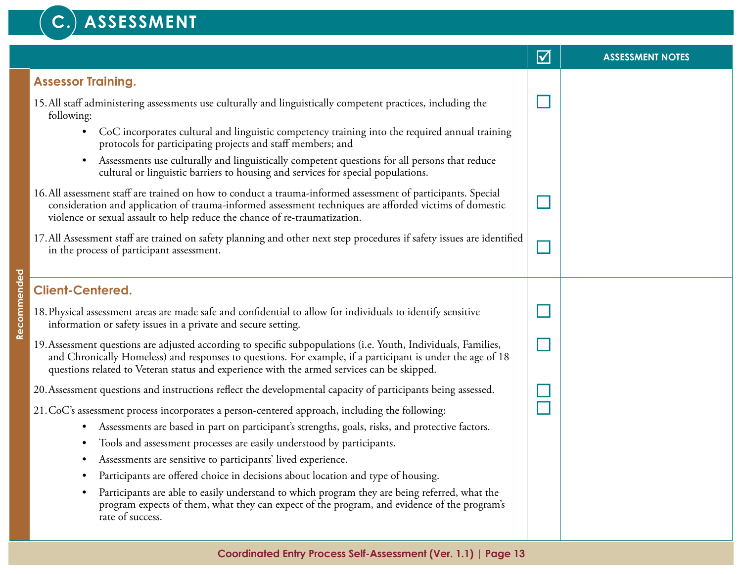#### C.) ASSESSMENT

|                                                                                                                                                                                                                                                                                                                            | $\Delta$ | <b>ASSESSMENT NOTES</b> |
|----------------------------------------------------------------------------------------------------------------------------------------------------------------------------------------------------------------------------------------------------------------------------------------------------------------------------|----------|-------------------------|
| <b>Assessor Training.</b>                                                                                                                                                                                                                                                                                                  |          |                         |
| 15. All staff administering assessments use culturally and linguistically competent practices, including the<br>following:                                                                                                                                                                                                 |          |                         |
| CoC incorporates cultural and linguistic competency training into the required annual training<br>$\bullet$<br>protocols for participating projects and staff members; and                                                                                                                                                 |          |                         |
| Assessments use culturally and linguistically competent questions for all persons that reduce<br>$\bullet$<br>cultural or linguistic barriers to housing and services for special populations.                                                                                                                             |          |                         |
| 16. All assessment staff are trained on how to conduct a trauma-informed assessment of participants. Special<br>consideration and application of trauma-informed assessment techniques are afforded victims of domestic<br>violence or sexual assault to help reduce the chance of re-traumatization.                      |          |                         |
| 17. All Assessment staff are trained on safety planning and other next step procedures if safety issues are identified<br>in the process of participant assessment.                                                                                                                                                        |          |                         |
| <b>Client-Centered.</b>                                                                                                                                                                                                                                                                                                    |          |                         |
| 18. Physical assessment areas are made safe and confidential to allow for individuals to identify sensitive<br>information or safety issues in a private and secure setting.                                                                                                                                               |          |                         |
| 19. Assessment questions are adjusted according to specific subpopulations (i.e. Youth, Individuals, Families,<br>and Chronically Homeless) and responses to questions. For example, if a participant is under the age of 18<br>questions related to Veteran status and experience with the armed services can be skipped. |          |                         |
| 20. Assessment questions and instructions reflect the developmental capacity of participants being assessed.                                                                                                                                                                                                               |          |                         |
| 21. CoC's assessment process incorporates a person-centered approach, including the following:                                                                                                                                                                                                                             |          |                         |
| Assessments are based in part on participant's strengths, goals, risks, and protective factors.<br>$\bullet$                                                                                                                                                                                                               |          |                         |
| Tools and assessment processes are easily understood by participants.                                                                                                                                                                                                                                                      |          |                         |
| Assessments are sensitive to participants' lived experience.<br>$\bullet$                                                                                                                                                                                                                                                  |          |                         |
| Participants are offered choice in decisions about location and type of housing.                                                                                                                                                                                                                                           |          |                         |
| Participants are able to easily understand to which program they are being referred, what the<br>program expects of them, what they can expect of the program, and evidence of the program's<br>rate of success.                                                                                                           |          |                         |
|                                                                                                                                                                                                                                                                                                                            |          |                         |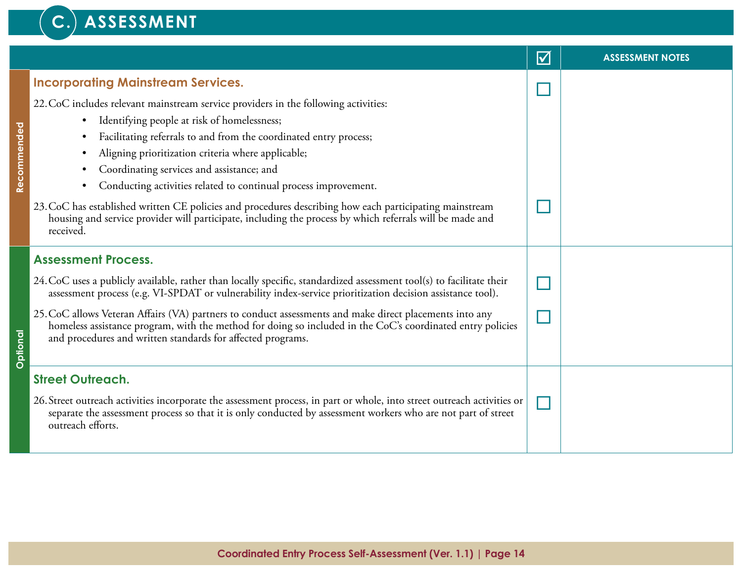#### C.) ASSESSMENT

|             |                                                                                                                                                                                                                                                                                                                                                                                                                                                                                                                                                                                                                                                                                       | $\blacktriangledown$ | <b>ASSESSMENT NOTES</b> |
|-------------|---------------------------------------------------------------------------------------------------------------------------------------------------------------------------------------------------------------------------------------------------------------------------------------------------------------------------------------------------------------------------------------------------------------------------------------------------------------------------------------------------------------------------------------------------------------------------------------------------------------------------------------------------------------------------------------|----------------------|-------------------------|
| Recommended | <b>Incorporating Mainstream Services.</b><br>22. CoC includes relevant mainstream service providers in the following activities:<br>Identifying people at risk of homelessness;<br>Facilitating referrals to and from the coordinated entry process;<br>Aligning prioritization criteria where applicable;<br>٠<br>Coordinating services and assistance; and<br>٠<br>Conducting activities related to continual process improvement.<br>$\bullet$<br>23. CoC has established written CE policies and procedures describing how each participating mainstream<br>housing and service provider will participate, including the process by which referrals will be made and<br>received. |                      |                         |
| Optional    | <b>Assessment Process.</b><br>24. CoC uses a publicly available, rather than locally specific, standardized assessment tool(s) to facilitate their<br>assessment process (e.g. VI-SPDAT or vulnerability index-service prioritization decision assistance tool).<br>25. CoC allows Veteran Affairs (VA) partners to conduct assessments and make direct placements into any<br>homeless assistance program, with the method for doing so included in the CoC's coordinated entry policies<br>and procedures and written standards for affected programs.                                                                                                                              |                      |                         |
|             | <b>Street Outreach.</b><br>26. Street outreach activities incorporate the assessment process, in part or whole, into street outreach activities or<br>separate the assessment process so that it is only conducted by assessment workers who are not part of street<br>outreach efforts.                                                                                                                                                                                                                                                                                                                                                                                              |                      |                         |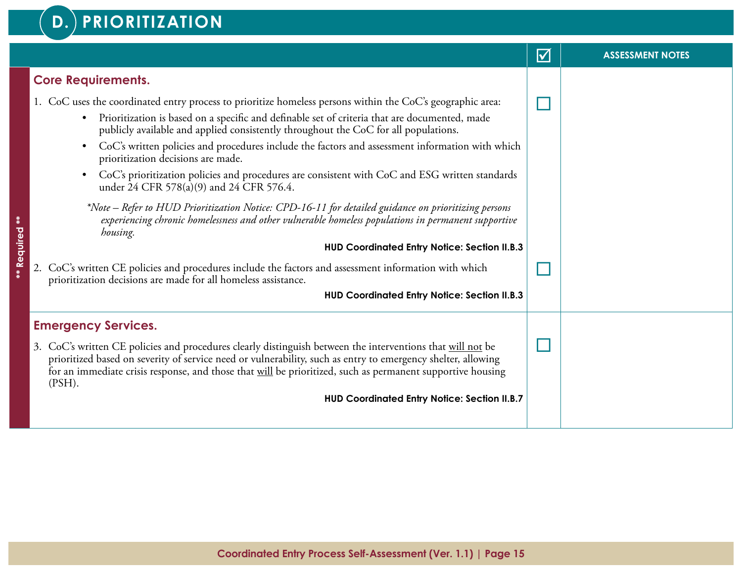#### **D. PRIORITIZATION**

|                                                                                                                                                                                                                                                                                                                                                                                                                                                                                                                                                                                                                                                                                                                                                                                                                                               | $\boldsymbol{\mathsf{V}}$ | <b>ASSESSMENT NOTES</b> |
|-----------------------------------------------------------------------------------------------------------------------------------------------------------------------------------------------------------------------------------------------------------------------------------------------------------------------------------------------------------------------------------------------------------------------------------------------------------------------------------------------------------------------------------------------------------------------------------------------------------------------------------------------------------------------------------------------------------------------------------------------------------------------------------------------------------------------------------------------|---------------------------|-------------------------|
| <b>Core Requirements.</b>                                                                                                                                                                                                                                                                                                                                                                                                                                                                                                                                                                                                                                                                                                                                                                                                                     |                           |                         |
| 1. CoC uses the coordinated entry process to prioritize homeless persons within the CoC's geographic area:<br>Prioritization is based on a specific and definable set of criteria that are documented, made<br>publicly available and applied consistently throughout the CoC for all populations.<br>CoC's written policies and procedures include the factors and assessment information with which<br>$\bullet$<br>prioritization decisions are made.<br>CoC's prioritization policies and procedures are consistent with CoC and ESG written standards<br>$\bullet$<br>under 24 CFR 578(a)(9) and 24 CFR 576.4.<br>*Note – Refer to HUD Prioritization Notice: CPD-16-11 for detailed guidance on prioritizing persons<br>experiencing chronic homelessness and other vulnerable homeless populations in permanent supportive<br>housing. |                           |                         |
| HUD Coordinated Entry Notice: Section II.B.3<br>2. CoC's written CE policies and procedures include the factors and assessment information with which<br>prioritization decisions are made for all homeless assistance.<br><b>HUD Coordinated Entry Notice: Section II.B.3</b>                                                                                                                                                                                                                                                                                                                                                                                                                                                                                                                                                                |                           |                         |
| <b>Emergency Services.</b><br>3. CoC's written CE policies and procedures clearly distinguish between the interventions that will not be<br>prioritized based on severity of service need or vulnerability, such as entry to emergency shelter, allowing<br>for an immediate crisis response, and those that will be prioritized, such as permanent supportive housing<br>$(PSH)$ .<br><b>HUD Coordinated Entry Notice: Section II.B.7</b>                                                                                                                                                                                                                                                                                                                                                                                                    |                           |                         |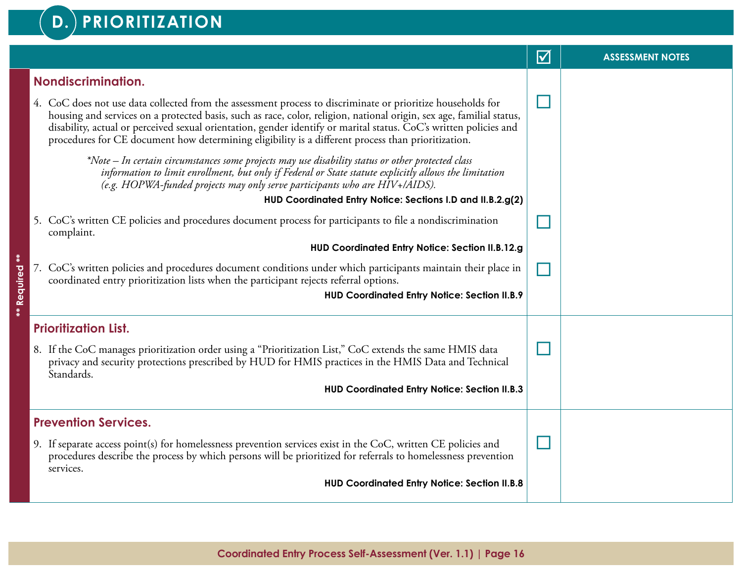#### **D. PRIORITIZATION**

|                |                                                                                                                                                                                                                                                                                                                                                                                                                                                                | $\overline{\mathsf{M}}$ | <b>ASSESSMENT NOTES</b> |
|----------------|----------------------------------------------------------------------------------------------------------------------------------------------------------------------------------------------------------------------------------------------------------------------------------------------------------------------------------------------------------------------------------------------------------------------------------------------------------------|-------------------------|-------------------------|
|                | Nondiscrimination.                                                                                                                                                                                                                                                                                                                                                                                                                                             |                         |                         |
|                | 4. CoC does not use data collected from the assessment process to discriminate or prioritize households for<br>housing and services on a protected basis, such as race, color, religion, national origin, sex age, familial status,<br>disability, actual or perceived sexual orientation, gender identify or marital status. CoC's written policies and<br>procedures for CE document how determining eligibility is a different process than prioritization. |                         |                         |
|                | *Note – In certain circumstances some projects may use disability status or other protected class<br>information to limit enrollment, but only if Federal or State statute explicitly allows the limitation<br>(e.g. HOPWA-funded projects may only serve participants who are HIV+/AIDS).                                                                                                                                                                     |                         |                         |
|                | HUD Coordinated Entry Notice: Sections I.D and II.B.2.g(2)                                                                                                                                                                                                                                                                                                                                                                                                     |                         |                         |
|                | 5. CoC's written CE policies and procedures document process for participants to file a nondiscrimination<br>complaint.                                                                                                                                                                                                                                                                                                                                        |                         |                         |
|                | HUD Coordinated Entry Notice: Section II.B.12.g                                                                                                                                                                                                                                                                                                                                                                                                                |                         |                         |
| ** Required ** | 7. CoC's written policies and procedures document conditions under which participants maintain their place in<br>coordinated entry prioritization lists when the participant rejects referral options.                                                                                                                                                                                                                                                         |                         |                         |
|                | <b>HUD Coordinated Entry Notice: Section II.B.9</b>                                                                                                                                                                                                                                                                                                                                                                                                            |                         |                         |
|                | <b>Prioritization List.</b>                                                                                                                                                                                                                                                                                                                                                                                                                                    |                         |                         |
|                | 8. If the CoC manages prioritization order using a "Prioritization List," CoC extends the same HMIS data<br>privacy and security protections prescribed by HUD for HMIS practices in the HMIS Data and Technical<br>Standards.                                                                                                                                                                                                                                 |                         |                         |
|                | <b>HUD Coordinated Entry Notice: Section II.B.3</b>                                                                                                                                                                                                                                                                                                                                                                                                            |                         |                         |
|                | <b>Prevention Services.</b>                                                                                                                                                                                                                                                                                                                                                                                                                                    |                         |                         |
|                | 9. If separate access point(s) for homelessness prevention services exist in the CoC, written CE policies and<br>procedures describe the process by which persons will be prioritized for referrals to homelessness prevention<br>services.                                                                                                                                                                                                                    |                         |                         |
|                | <b>HUD Coordinated Entry Notice: Section II.B.8</b>                                                                                                                                                                                                                                                                                                                                                                                                            |                         |                         |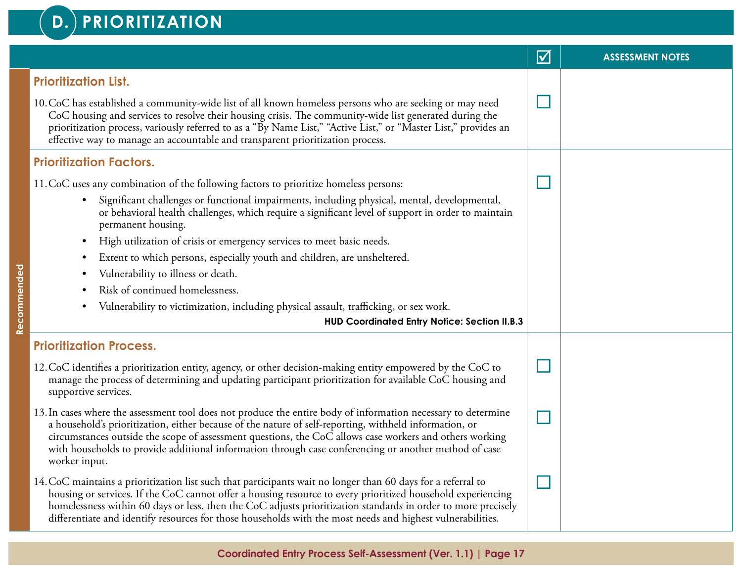#### **D. PRIORITIZATION**

|                                                                                                                                                                                                                                                                                                                                                                                                                                                              | $\blacktriangledown$ | <b>ASSESSMENT NOTES</b> |
|--------------------------------------------------------------------------------------------------------------------------------------------------------------------------------------------------------------------------------------------------------------------------------------------------------------------------------------------------------------------------------------------------------------------------------------------------------------|----------------------|-------------------------|
| <b>Prioritization List.</b>                                                                                                                                                                                                                                                                                                                                                                                                                                  |                      |                         |
| 10. CoC has established a community-wide list of all known homeless persons who are seeking or may need<br>CoC housing and services to resolve their housing crisis. The community-wide list generated during the<br>prioritization process, variously referred to as a "By Name List," "Active List," or "Master List," provides an<br>effective way to manage an accountable and transparent prioritization process.                                       |                      |                         |
| <b>Prioritization Factors.</b>                                                                                                                                                                                                                                                                                                                                                                                                                               |                      |                         |
| 11. CoC uses any combination of the following factors to prioritize homeless persons:                                                                                                                                                                                                                                                                                                                                                                        |                      |                         |
| Significant challenges or functional impairments, including physical, mental, developmental,<br>$\bullet$<br>or behavioral health challenges, which require a significant level of support in order to maintain<br>permanent housing.                                                                                                                                                                                                                        |                      |                         |
| High utilization of crisis or emergency services to meet basic needs.                                                                                                                                                                                                                                                                                                                                                                                        |                      |                         |
| Extent to which persons, especially youth and children, are unsheltered.                                                                                                                                                                                                                                                                                                                                                                                     |                      |                         |
| Vulnerability to illness or death.                                                                                                                                                                                                                                                                                                                                                                                                                           |                      |                         |
| Risk of continued homelessness.                                                                                                                                                                                                                                                                                                                                                                                                                              |                      |                         |
| Vulnerability to victimization, including physical assault, trafficking, or sex work.                                                                                                                                                                                                                                                                                                                                                                        |                      |                         |
| <b>HUD Coordinated Entry Notice: Section II.B.3</b>                                                                                                                                                                                                                                                                                                                                                                                                          |                      |                         |
| <b>Prioritization Process.</b>                                                                                                                                                                                                                                                                                                                                                                                                                               |                      |                         |
| 12. CoC identifies a prioritization entity, agency, or other decision-making entity empowered by the CoC to<br>manage the process of determining and updating participant prioritization for available CoC housing and<br>supportive services.                                                                                                                                                                                                               |                      |                         |
| 13. In cases where the assessment tool does not produce the entire body of information necessary to determine<br>a household's prioritization, either because of the nature of self-reporting, withheld information, or<br>circumstances outside the scope of assessment questions, the CoC allows case workers and others working<br>with households to provide additional information through case conferencing or another method of case<br>worker input. |                      |                         |
| 14. CoC maintains a prioritization list such that participants wait no longer than 60 days for a referral to<br>housing or services. If the CoC cannot offer a housing resource to every prioritized household experiencing<br>homelessness within 60 days or less, then the CoC adjusts prioritization standards in order to more precisely<br>differentiate and identify resources for those households with the most needs and highest vulnerabilities.   |                      |                         |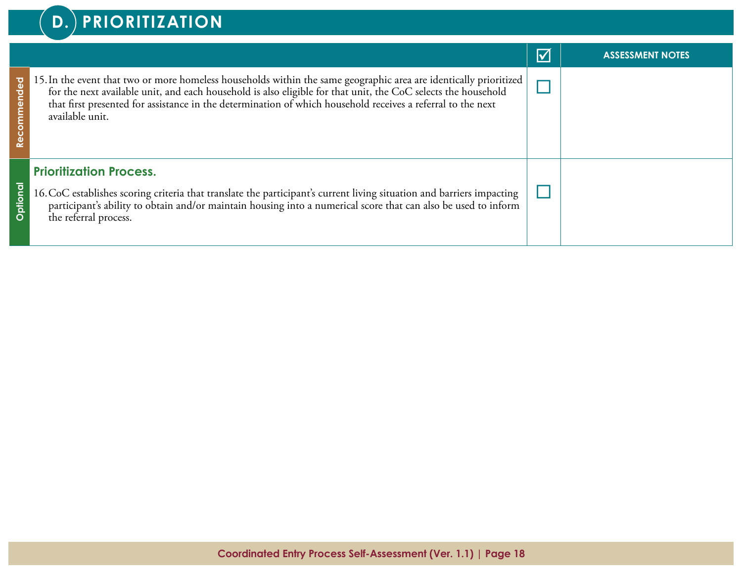|       |                                                                                                                                                                                                                                                                                                                                                                        | $\triangledown$ | <b>ASSESSMENT NOTES</b> |
|-------|------------------------------------------------------------------------------------------------------------------------------------------------------------------------------------------------------------------------------------------------------------------------------------------------------------------------------------------------------------------------|-----------------|-------------------------|
|       | 15. In the event that two or more homeless households within the same geographic area are identically prioritized  <br>for the next available unit, and each household is also eligible for that unit, the CoC selects the household<br>that first presented for assistance in the determination of which household receives a referral to the next<br>available unit. |                 |                         |
| Optio | <b>Prioritization Process.</b><br>16. CoC establishes scoring criteria that translate the participant's current living situation and barriers impacting<br>participant's ability to obtain and/or maintain housing into a numerical score that can also be used to inform<br>the referral process.                                                                     |                 |                         |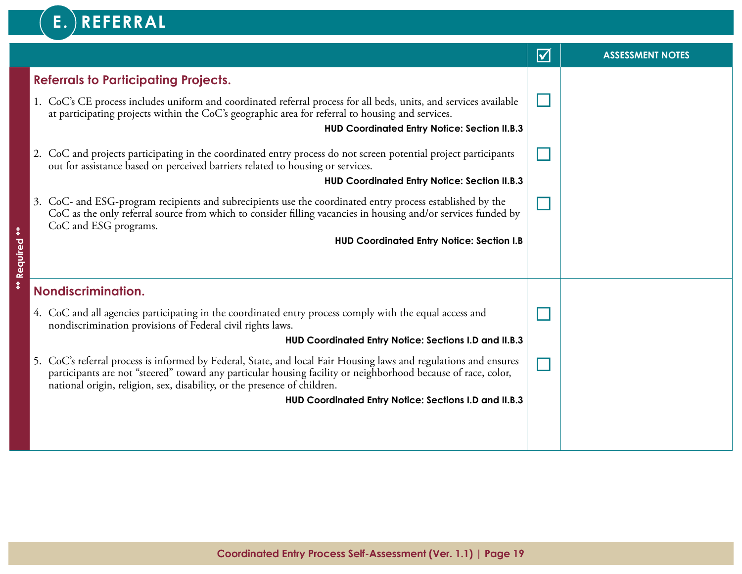## $\mathbf{E}$ . REFERRAL

|          |                                                                                                                                                                                                                                                                                                               | $\blacktriangledown$ | <b>ASSESSMENT NOTES</b> |
|----------|---------------------------------------------------------------------------------------------------------------------------------------------------------------------------------------------------------------------------------------------------------------------------------------------------------------|----------------------|-------------------------|
|          | <b>Referrals to Participating Projects.</b>                                                                                                                                                                                                                                                                   |                      |                         |
|          | 1. CoC's CE process includes uniform and coordinated referral process for all beds, units, and services available<br>at participating projects within the CoC's geographic area for referral to housing and services.                                                                                         |                      |                         |
|          | <b>HUD Coordinated Entry Notice: Section II.B.3</b>                                                                                                                                                                                                                                                           |                      |                         |
|          | 2. CoC and projects participating in the coordinated entry process do not screen potential project participants<br>out for assistance based on perceived barriers related to housing or services.                                                                                                             |                      |                         |
|          | <b>HUD Coordinated Entry Notice: Section II.B.3</b>                                                                                                                                                                                                                                                           |                      |                         |
|          | 3. CoC- and ESG-program recipients and subrecipients use the coordinated entry process established by the<br>CoC as the only referral source from which to consider filling vacancies in housing and/or services funded by<br>CoC and ESG programs.                                                           |                      |                         |
| $*$      | <b>HUD Coordinated Entry Notice: Section I.B</b>                                                                                                                                                                                                                                                              |                      |                         |
| Required |                                                                                                                                                                                                                                                                                                               |                      |                         |
| **       | Nondiscrimination.                                                                                                                                                                                                                                                                                            |                      |                         |
|          | 4. CoC and all agencies participating in the coordinated entry process comply with the equal access and<br>nondiscrimination provisions of Federal civil rights laws.                                                                                                                                         |                      |                         |
|          | HUD Coordinated Entry Notice: Sections I.D and II.B.3                                                                                                                                                                                                                                                         |                      |                         |
|          | 5. CoC's referral process is informed by Federal, State, and local Fair Housing laws and regulations and ensures<br>participants are not "steered" toward any particular housing facility or neighborhood because of race, color,<br>national origin, religion, sex, disability, or the presence of children. |                      |                         |
|          | HUD Coordinated Entry Notice: Sections I.D and II.B.3                                                                                                                                                                                                                                                         |                      |                         |
|          |                                                                                                                                                                                                                                                                                                               |                      |                         |
|          |                                                                                                                                                                                                                                                                                                               |                      |                         |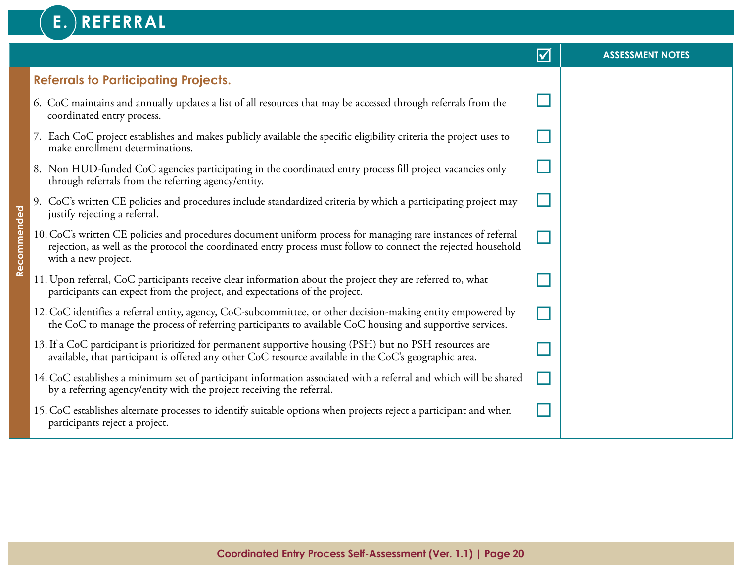#### **E. REFERRAL v** ASSESSMENT NOTES **Referrals to Participating Projects.** ¨ 6. CoC maintains and annually updates a list of all resources that may be accessed through referrals from the coordinated entry process. 7. Each CoC project establishes and makes publicly available the specific eligibility criteria the project uses to ¨make enrollment determinations. ¨ 8. Non HUD-funded CoC agencies participating in the coordinated entry process fill project vacancies only through referrals from the referring agency/entity. ¨ 9. CoC's written CE policies and procedures include standardized criteria by which a participating project may Recommended **Recommended** justify rejecting a referral. 10.CoC's written CE policies and procedures document uniform process for managing rare instances of referral  $\Box$ rejection, as well as the protocol the coordinated entry process must follow to connect the rejected household with a new project.  $\Box$ 11. Upon referral, CoC participants receive clear information about the project they are referred to, what participants can expect from the project, and expectations of the project.  $\Box$ 12.CoC identifies a referral entity, agency, CoC-subcommittee, or other decision-making entity empowered by the CoC to manage the process of referring participants to available CoC housing and supportive services. 13.If a CoC participant is prioritized for permanent supportive housing (PSH) but no PSH resources are ¨ available, that participant is offered any other CoC resource available in the CoC's geographic area. 14.CoC establishes a minimum set of participant information associated with a referral and which will be shared ¨ by a referring agency/entity with the project receiving the referral. ¨ 15.CoC establishes alternate processes to identify suitable options when projects reject a participant and when participants reject a project.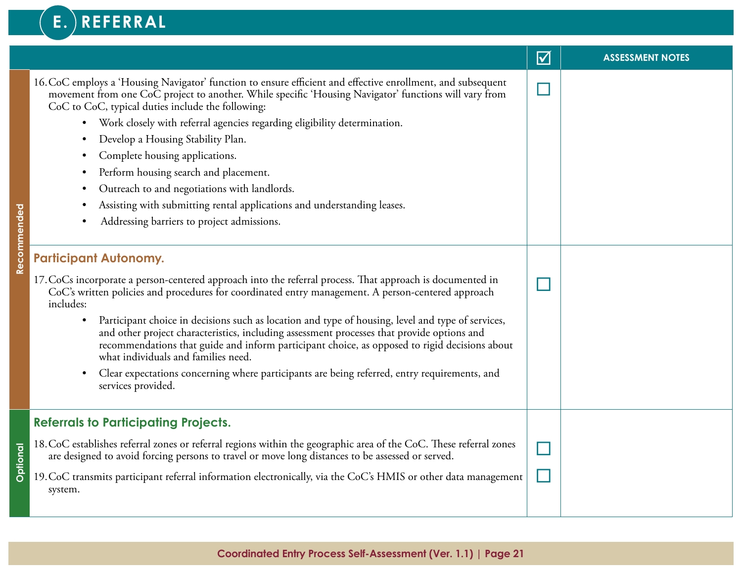## E. REFERRAL

|             |                                                                                                                                                                                                                                                                                                                                                                                                                                                                                                                                                                                                                                                                                                                                                                                                                                                                                                                                                                                                                                                                                                                                                                                                                                                                                                                                                                                                           | $\Delta$ | <b>ASSESSMENT NOTES</b> |
|-------------|-----------------------------------------------------------------------------------------------------------------------------------------------------------------------------------------------------------------------------------------------------------------------------------------------------------------------------------------------------------------------------------------------------------------------------------------------------------------------------------------------------------------------------------------------------------------------------------------------------------------------------------------------------------------------------------------------------------------------------------------------------------------------------------------------------------------------------------------------------------------------------------------------------------------------------------------------------------------------------------------------------------------------------------------------------------------------------------------------------------------------------------------------------------------------------------------------------------------------------------------------------------------------------------------------------------------------------------------------------------------------------------------------------------|----------|-------------------------|
| Recommended | 16. CoC employs a 'Housing Navigator' function to ensure efficient and effective enrollment, and subsequent<br>movement from one CoC project to another. While specific 'Housing Navigator' functions will vary from<br>CoC to CoC, typical duties include the following:<br>Work closely with referral agencies regarding eligibility determination.<br>$\bullet$<br>Develop a Housing Stability Plan.<br>Complete housing applications.<br>Perform housing search and placement.<br>Outreach to and negotiations with landlords.<br>Assisting with submitting rental applications and understanding leases.<br>Addressing barriers to project admissions.<br><b>Participant Autonomy.</b><br>17. CoCs incorporate a person-centered approach into the referral process. That approach is documented in<br>CoC's written policies and procedures for coordinated entry management. A person-centered approach<br>includes:<br>Participant choice in decisions such as location and type of housing, level and type of services,<br>$\bullet$<br>and other project characteristics, including assessment processes that provide options and<br>recommendations that guide and inform participant choice, as opposed to rigid decisions about<br>what individuals and families need.<br>Clear expectations concerning where participants are being referred, entry requirements, and<br>services provided. |          |                         |
| Optional    | <b>Referrals to Participating Projects.</b><br>18. CoC establishes referral zones or referral regions within the geographic area of the CoC. These referral zones<br>are designed to avoid forcing persons to travel or move long distances to be assessed or served.<br>19. CoC transmits participant referral information electronically, via the CoC's HMIS or other data management<br>system.                                                                                                                                                                                                                                                                                                                                                                                                                                                                                                                                                                                                                                                                                                                                                                                                                                                                                                                                                                                                        |          |                         |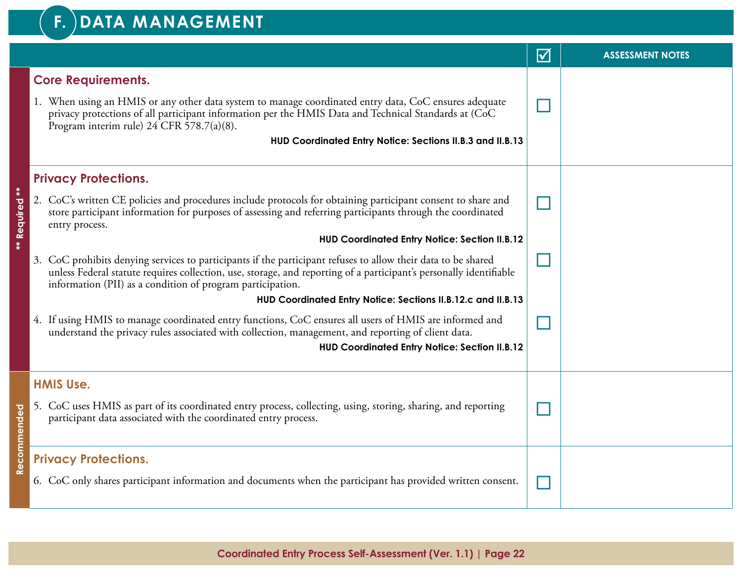#### **F. DATA MANAGEMENT**

|                           |                                                                                                                                                                                                                                                                                                   | $\blacktriangledown$ | <b>ASSESSMENT NOTES</b> |
|---------------------------|---------------------------------------------------------------------------------------------------------------------------------------------------------------------------------------------------------------------------------------------------------------------------------------------------|----------------------|-------------------------|
|                           | <b>Core Requirements.</b>                                                                                                                                                                                                                                                                         |                      |                         |
|                           | 1. When using an HMIS or any other data system to manage coordinated entry data, CoC ensures adequate<br>privacy protections of all participant information per the HMIS Data and Technical Standards at (CoC<br>Program interim rule) 24 CFR 578.7(a)(8).                                        |                      |                         |
|                           | HUD Coordinated Entry Notice: Sections II.B.3 and II.B.13                                                                                                                                                                                                                                         |                      |                         |
|                           | <b>Privacy Protections.</b>                                                                                                                                                                                                                                                                       |                      |                         |
| $\ddot{*}$<br>** Required | 2. CoC's written CE policies and procedures include protocols for obtaining participant consent to share and<br>store participant information for purposes of assessing and referring participants through the coordinated<br>entry process.                                                      |                      |                         |
|                           | <b>HUD Coordinated Entry Notice: Section II.B.12</b>                                                                                                                                                                                                                                              |                      |                         |
|                           | 3. CoC prohibits denying services to participants if the participant refuses to allow their data to be shared<br>unless Federal statute requires collection, use, storage, and reporting of a participant's personally identifiable<br>information (PII) as a condition of program participation. |                      |                         |
|                           | HUD Coordinated Entry Notice: Sections II.B.12.c and II.B.13                                                                                                                                                                                                                                      |                      |                         |
|                           | 4. If using HMIS to manage coordinated entry functions, CoC ensures all users of HMIS are informed and<br>understand the privacy rules associated with collection, management, and reporting of client data.                                                                                      |                      |                         |
|                           | <b>HUD Coordinated Entry Notice: Section II.B.12</b>                                                                                                                                                                                                                                              |                      |                         |
|                           | <b>HMIS Use.</b>                                                                                                                                                                                                                                                                                  |                      |                         |
| Recommended               | 5. CoC uses HMIS as part of its coordinated entry process, collecting, using, storing, sharing, and reporting<br>participant data associated with the coordinated entry process.                                                                                                                  |                      |                         |
|                           | <b>Privacy Protections.</b>                                                                                                                                                                                                                                                                       |                      |                         |
|                           | 6. CoC only shares participant information and documents when the participant has provided written consent.                                                                                                                                                                                       |                      |                         |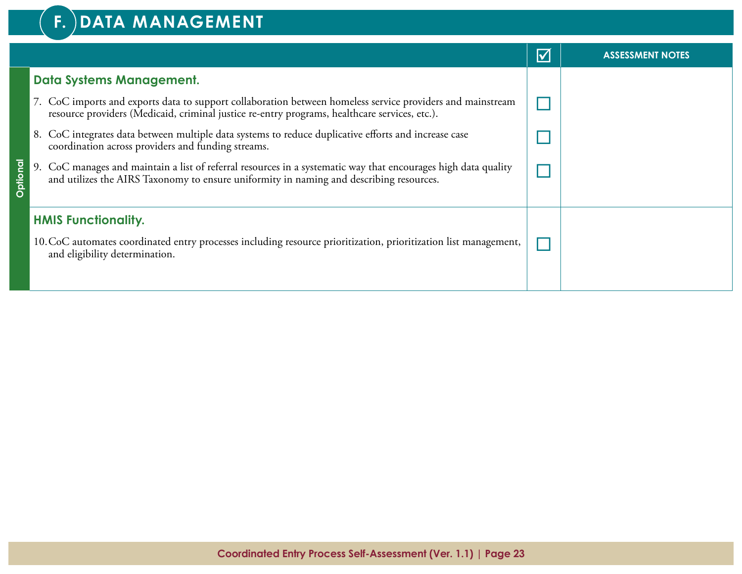#### **F. DATA MANAGEMENT**

|          |                                                                                                                                                                                                             | $\blacktriangledown$ | <b>ASSESSMENT NOTES</b> |
|----------|-------------------------------------------------------------------------------------------------------------------------------------------------------------------------------------------------------------|----------------------|-------------------------|
|          | Data Systems Management.                                                                                                                                                                                    |                      |                         |
|          | 7. CoC imports and exports data to support collaboration between homeless service providers and mainstream<br>resource providers (Medicaid, criminal justice re-entry programs, healthcare services, etc.). |                      |                         |
|          | 8. CoC integrates data between multiple data systems to reduce duplicative efforts and increase case<br>coordination across providers and funding streams.                                                  |                      |                         |
| Optional | 9. CoC manages and maintain a list of referral resources in a systematic way that encourages high data quality<br>and utilizes the AIRS Taxonomy to ensure uniformity in naming and describing resources.   |                      |                         |
|          | <b>HMIS Functionality.</b>                                                                                                                                                                                  |                      |                         |
|          | 10. CoC automates coordinated entry processes including resource prioritization, prioritization list management,<br>and eligibility determination.                                                          |                      |                         |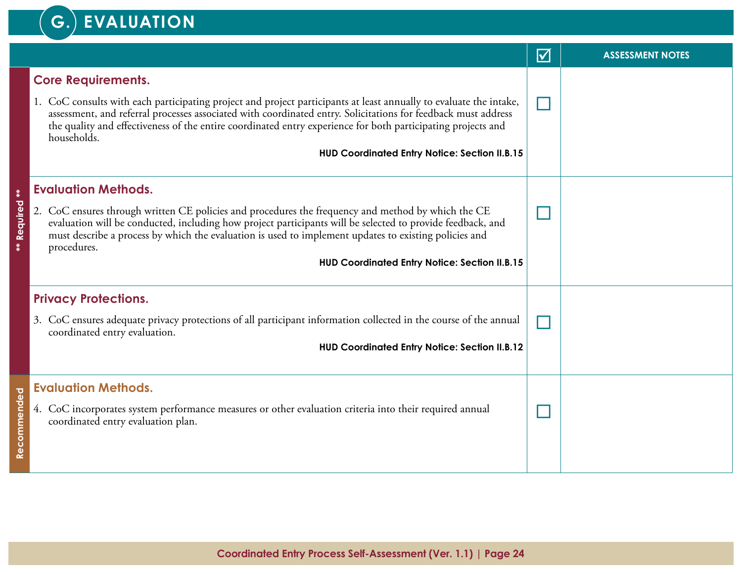#### **G. EVALUATION**

|                |                                                                                                                                                                                                                                                                                                                                                                    | $\blacktriangledown$ | <b>ASSESSMENT NOTES</b> |
|----------------|--------------------------------------------------------------------------------------------------------------------------------------------------------------------------------------------------------------------------------------------------------------------------------------------------------------------------------------------------------------------|----------------------|-------------------------|
|                | <b>Core Requirements.</b>                                                                                                                                                                                                                                                                                                                                          |                      |                         |
|                | 1. CoC consults with each participating project and project participants at least annually to evaluate the intake,<br>assessment, and referral processes associated with coordinated entry. Solicitations for feedback must address<br>the quality and effectiveness of the entire coordinated entry experience for both participating projects and<br>households. |                      |                         |
|                | HUD Coordinated Entry Notice: Section II.B.15                                                                                                                                                                                                                                                                                                                      |                      |                         |
| $\ddot{*}$     | <b>Evaluation Methods.</b>                                                                                                                                                                                                                                                                                                                                         |                      |                         |
| Required<br>** | 2. CoC ensures through written CE policies and procedures the frequency and method by which the CE<br>evaluation will be conducted, including how project participants will be selected to provide feedback, and<br>must describe a process by which the evaluation is used to implement updates to existing policies and<br>procedures.                           |                      |                         |
|                | <b>HUD Coordinated Entry Notice: Section II.B.15</b>                                                                                                                                                                                                                                                                                                               |                      |                         |
|                | <b>Privacy Protections.</b>                                                                                                                                                                                                                                                                                                                                        |                      |                         |
|                | 3. CoC ensures adequate privacy protections of all participant information collected in the course of the annual<br>coordinated entry evaluation.                                                                                                                                                                                                                  |                      |                         |
|                | <b>HUD Coordinated Entry Notice: Section II.B.12</b>                                                                                                                                                                                                                                                                                                               |                      |                         |
|                | <b>Evaluation Methods.</b>                                                                                                                                                                                                                                                                                                                                         |                      |                         |
| Recommended    | 4. CoC incorporates system performance measures or other evaluation criteria into their required annual<br>coordinated entry evaluation plan.                                                                                                                                                                                                                      |                      |                         |
|                |                                                                                                                                                                                                                                                                                                                                                                    |                      |                         |